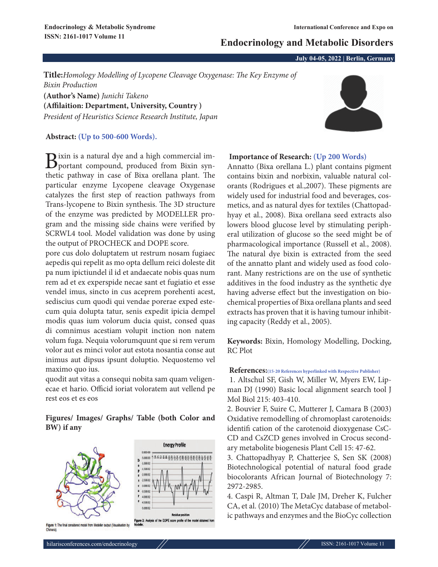# **Endocrinology and Metabolic Disorders**

**July 04-05, 2022 | Berlin, Germany**

**Title:***Homology Modelling of Lycopene Cleavage Oxygenase: The Key Enzyme of Bixin Production* **(Author's Name)** *Junichi Takeno*

**(Affilaition: Department, University, Country )** *President of Heuristics Science Research Institute, Japan*

## **Abstract: (Up to 500-600 Words).**

Bixin is a natural dye and a high commercial im-<br>portant compound, produced from Bixin synthetic pathway in case of Bixa orellana plant. The particular enzyme Lycopene cleavage Oxygenase catalyzes the first step of reaction pathways from Trans-lycopene to Bixin synthesis. The 3D structure of the enzyme was predicted by MODELLER program and the missing side chains were verified by SCRWL4 tool. Model validation was done by using the output of PROCHECK and DOPE score.

pore cus dolo doluptatem ut restrum nosam fugiaec aepedis qui repelit as mo opta dellum reici doleste dit pa num ipictiundel il id et andaecate nobis quas num rem ad et ex experspide necae sant et fugiatio et esse vendel imus, sincto in cus aceprem porehenti acest, sediscius cum quodi qui vendae porerae exped estecum quia dolupta tatur, senis expedit ipicia dempel modis quas ium volorum ducia quist, consed quas di comnimus acestiam volupit inction non natem volum fuga. Nequia volorumquunt que si rem verum volor aut es minci volor aut estota nosantia conse aut inimus aut dipsus ipsunt doluptio. Nequostemo vel maximo quo ius.

quodit aut vitas a consequi nobita sam quam veligenecae et hario. Officid ioriat voloratem aut vellend pe rest eos et es eos

## **Figures/ Images/ Graphs/ Table (both Color and BW) if any**



## **Importance of Research: (Up 200 Words)**

Annatto (Bixa orellana L.) plant contains pigment contains bixin and norbixin, valuable natural colorants (Rodrigues et al.,2007). These pigments are widely used for industrial food and beverages, cosmetics, and as natural dyes for textiles (Chattopadhyay et al., 2008). Bixa orellana seed extracts also lowers blood glucose level by stimulating peripheral utilization of glucose so the seed might be of pharmacological importance (Russell et al., 2008). The natural dye bixin is extracted from the seed of the annatto plant and widely used as food colorant. Many restrictions are on the use of synthetic additives in the food industry as the synthetic dye having adverse effect but the investigation on biochemical properties of Bixa orellana plants and seed extracts has proven that it is having tumour inhibiting capacity (Reddy et al., 2005).

**Keywords:** Bixin, Homology Modelling, Docking, RC Plot

### **References:(15-20 References hyperlinked with Respective Publisher)**

1. Altschul SF, Gish W, Miller W, Myers EW, Lipman DJ (1990) Basic local alignment search tool J Mol Biol 215: 403-410.

2. Bouvier F, Suire C, Mutterer J, Camara B (2003) Oxidative remodelling of chromoplast carotenoids: identifi cation of the carotenoid dioxygenase CsC-CD and CsZCD genes involved in Crocus secondary metabolite biogenesis Plant Cell 15: 47-62.

3. Chattopadhyay P, Chatterjee S, Sen SK (2008) Biotechnological potential of natural food grade biocolorants African Journal of Biotechnology 7: 2972-2985.

4. Caspi R, Altman T, Dale JM, Dreher K, Fulcher CA, et al. (2010) The MetaCyc database of metabolic pathways and enzymes and the BioCyc collection